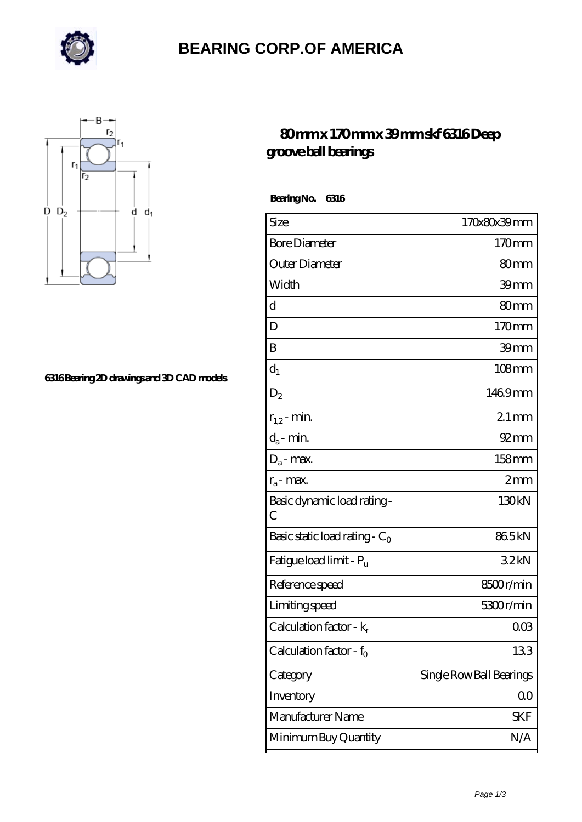

## **[BEARING CORP.OF AMERICA](https://m.richiecusick.com)**



#### **[6316 Bearing 2D drawings and 3D CAD models](https://m.richiecusick.com/pic-64956270.html)**

### **[80 mm x 170 mm x 39 mm skf 6316 Deep](https://m.richiecusick.com/bd-64956270-skf-6316-deep-groove-ball-bearings.html) [groove ball bearings](https://m.richiecusick.com/bd-64956270-skf-6316-deep-groove-ball-bearings.html)**

 **Bearing No. 6316**

| Size                             | 170x80x39mm              |
|----------------------------------|--------------------------|
| <b>Bore Diameter</b>             | 170mm                    |
| Outer Diameter                   | 80mm                     |
| Width                            | 39 <sub>mm</sub>         |
| d                                | 80mm                     |
| D                                | 170mm                    |
| B                                | 39mm                     |
| $d_1$                            | $108 \text{mm}$          |
| $\mathrm{D}_2$                   | 1469mm                   |
| $r_{1,2}$ - min.                 | $21$ mm                  |
| $d_a$ - min.                     | $92 \, \text{mm}$        |
| $D_a$ - max.                     | $158$ mm                 |
| $r_a$ - max.                     | 2mm                      |
| Basic dynamic load rating-<br>С  | 130kN                    |
| Basic static load rating - $C_0$ | 865kN                    |
| Fatigue load limit - Pu          | 32kN                     |
| Reference speed                  | 8500r/min                |
| Limiting speed                   | 5300r/min                |
| Calculation factor - $k_r$       | $00\%$                   |
| Calculation factor - $f_0$       | 133                      |
| Category                         | Single Row Ball Bearings |
| Inventory                        | QO                       |
| Manufacturer Name                | <b>SKF</b>               |
| Minimum Buy Quantity             | N/A                      |
|                                  |                          |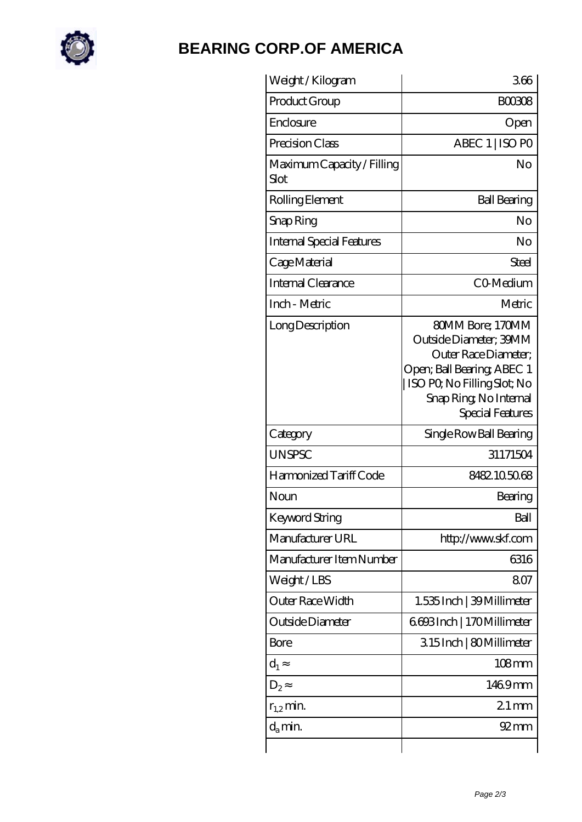

## **[BEARING CORP.OF AMERICA](https://m.richiecusick.com)**

| Weight /Kilogram                          | 366                                                                                                                                                                           |
|-------------------------------------------|-------------------------------------------------------------------------------------------------------------------------------------------------------------------------------|
| Product Group                             | <b>BOO308</b>                                                                                                                                                                 |
| Enclosure                                 | Open                                                                                                                                                                          |
| Precision Class                           | ABEC 1   ISO PO                                                                                                                                                               |
| Maximum Capacity / Filling<br><b>Slot</b> | No                                                                                                                                                                            |
| Rolling Element                           | <b>Ball Bearing</b>                                                                                                                                                           |
| Snap Ring                                 | No                                                                                                                                                                            |
| <b>Internal Special Features</b>          | No                                                                                                                                                                            |
| Cage Material                             | Steel                                                                                                                                                                         |
| Internal Clearance                        | CO-Medium                                                                                                                                                                     |
| Inch - Metric                             | Metric                                                                                                                                                                        |
| Long Description                          | 80MM Bore; 170MM<br>Outside Diameter; 39MM<br>Outer Race Diameter:<br>Open; Ball Bearing; ABEC 1<br>ISO PO, No Filling Slot; No<br>Snap Ring, No Internal<br>Special Features |
| Category                                  | Single Row Ball Bearing                                                                                                                                                       |
| <b>UNSPSC</b>                             | 31171504                                                                                                                                                                      |
| Harmonized Tariff Code                    | 8482105068                                                                                                                                                                    |
| Noun                                      | Bearing                                                                                                                                                                       |
| <b>Keyword String</b>                     | Ball                                                                                                                                                                          |
| Manufacturer URL                          | http://www.skf.com                                                                                                                                                            |
| Manufacturer Item Number                  | 6316                                                                                                                                                                          |
| Weight / LBS                              | 807                                                                                                                                                                           |
| Outer Race Width                          | 1.535 Inch   39 Millimeter                                                                                                                                                    |
| Outside Diameter                          | 6693Inch   170Millimeter                                                                                                                                                      |
| Bore                                      | 315Inch   80Millimeter                                                                                                                                                        |
| $d_1$                                     | $108$ mm                                                                                                                                                                      |
| $D_2$                                     | 1469mm                                                                                                                                                                        |
| $r_{1,2}$ min.                            | $21 \,\mathrm{mm}$                                                                                                                                                            |
| $d_a$ min.                                | $92 \text{mm}$                                                                                                                                                                |
|                                           |                                                                                                                                                                               |